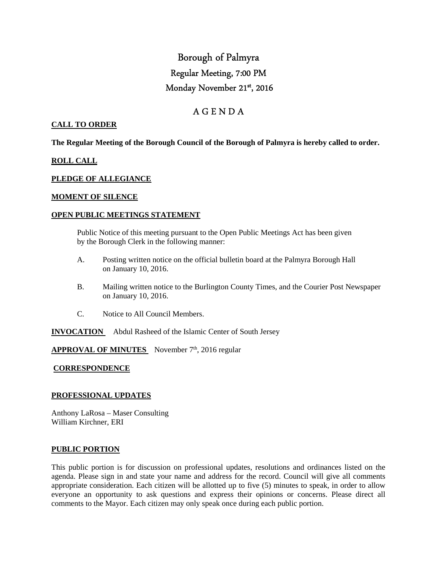# Borough of Palmyra Regular Meeting, 7:00 PM Monday November 21st, 2016

# A G E N D A

### **CALL TO ORDER**

**The Regular Meeting of the Borough Council of the Borough of Palmyra is hereby called to order.** 

### **ROLL CALL**

#### **PLEDGE OF ALLEGIANCE**

#### **MOMENT OF SILENCE**

#### **OPEN PUBLIC MEETINGS STATEMENT**

 Public Notice of this meeting pursuant to the Open Public Meetings Act has been given by the Borough Clerk in the following manner:

- A. Posting written notice on the official bulletin board at the Palmyra Borough Hall on January 10, 2016.
- B. Mailing written notice to the Burlington County Times, and the Courier Post Newspaper on January 10, 2016.
- C. Notice to All Council Members.

**INVOCATION** Abdul Rasheed of the Islamic Center of South Jersey

# **APPROVAL OF MINUTES** November 7<sup>th</sup>, 2016 regular

## **CORRESPONDENCE**

#### **PROFESSIONAL UPDATES**

Anthony LaRosa – Maser Consulting William Kirchner, ERI

#### **PUBLIC PORTION**

This public portion is for discussion on professional updates, resolutions and ordinances listed on the agenda. Please sign in and state your name and address for the record. Council will give all comments appropriate consideration. Each citizen will be allotted up to five (5) minutes to speak, in order to allow everyone an opportunity to ask questions and express their opinions or concerns. Please direct all comments to the Mayor. Each citizen may only speak once during each public portion.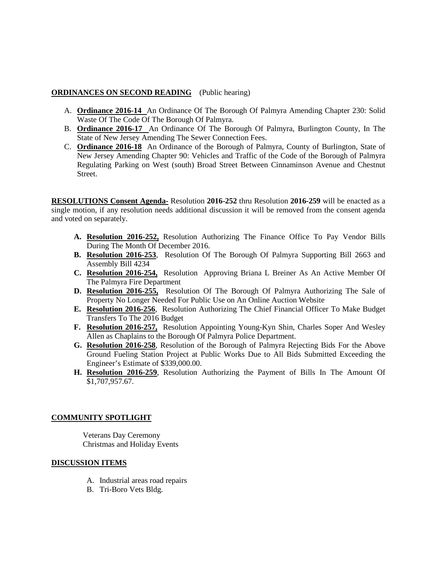# **ORDINANCES ON SECOND READING** (Public hearing)

- A. **Ordinance 2016-14** An Ordinance Of The Borough Of Palmyra Amending Chapter 230: Solid Waste Of The Code Of The Borough Of Palmyra.
- B. **Ordinance 2016-17** An Ordinance Of The Borough Of Palmyra, Burlington County, In The State of New Jersey Amending The Sewer Connection Fees.
- C. **Ordinance 2016-18** An Ordinance of the Borough of Palmyra, County of Burlington, State of New Jersey Amending Chapter 90: Vehicles and Traffic of the Code of the Borough of Palmyra Regulating Parking on West (south) Broad Street Between Cinnaminson Avenue and Chestnut Street.

**RESOLUTIONS Consent Agenda-** Resolution **2016-252** thru Resolution **2016-259** will be enacted as a single motion, if any resolution needs additional discussion it will be removed from the consent agenda and voted on separately.

- **A. Resolution 2016-252,** Resolution Authorizing The Finance Office To Pay Vendor Bills During The Month Of December 2016.
- **B. Resolution 2016-253**, Resolution Of The Borough Of Palmyra Supporting Bill 2663 and Assembly Bill 4234
- **C. Resolution 2016-254,** Resolution Approving Briana L Breiner As An Active Member Of The Palmyra Fire Department
- **D. Resolution 2016-255,** Resolution Of The Borough Of Palmyra Authorizing The Sale of Property No Longer Needed For Public Use on An Online Auction Website
- **E. Resolution 2016-256**, Resolution Authorizing The Chief Financial Officer To Make Budget Transfers To The 2016 Budget
- **F. Resolution 2016-257,** Resolution Appointing Young-Kyn Shin, Charles Soper And Wesley Allen as Chaplains to the Borough Of Palmyra Police Department.
- **G. Resolution 2016-258**, Resolution of the Borough of Palmyra Rejecting Bids For the Above Ground Fueling Station Project at Public Works Due to All Bids Submitted Exceeding the Engineer's Estimate of \$339,000.00.
- **H. Resolution 2016-259**, Resolution Authorizing the Payment of Bills In The Amount Of \$1,707,957.67.

## **COMMUNITY SPOTLIGHT**

 Veterans Day Ceremony Christmas and Holiday Events

## **DISCUSSION ITEMS**

- A. Industrial areas road repairs
- B. Tri-Boro Vets Bldg.